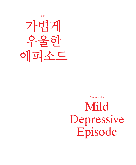조영주



Youngjoo Cho

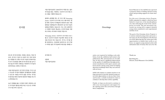Seoul Museum of Art (SeMA) has operated a program aimed at finding talented young artists and providing supports for them since 2008.

For this year's *Emerging Artists Program*, SeMA expanded its support, which has been limited to visual arts, to the interdisciplinary arts, thus reflecting the trend of the contemporary art world. The new movement represents our strong will to support talented young artists committed to new experimental activities of art.

인사말 Greetings 동향을 반영하고 있습니다. 이는 더욱 실험적이 올해로 6회째를 맞는 본 프로그램 ‹Emerging Artists: 신진작가 전시지원 프로그램›이라는 명 칭 하에 기존에 시각예술에 국한되어 있던 지원 범위를 다원예술까지 확장하여 동시대 미술의 고 다양한 지층의 재능있는 신진작가들을 지원 하고자하는 의지에서 비롯된 것입니다.

> The goal of the *Emerging Artists Program* is to nurture talented young artists and create a new space for the development of the Korean art world. Believing that the artists grow with opportunities to exhibit their works to art lovers, we support young talented artists with substantial sums of money that can cover the

서울시립미술관은 2008년부터 역량 있는 젊은 작가들을 발굴, 지원하는 신진작가 전시지원 프 로그램을 시행하여 왔습니다.

‹Emerging Artists: 신진작가 전시지원 프로그 램›은 신진작가 양성과 미술계의 새로운 장 형 성을 목표로 하고 있습니다. 작가는 전시를 통 해 성장한다는 신념하에 상대적으로 전시기회 가 어려운 젊은 작가들에게 개인전을 개최할 수

1 in the state of  $\frac{1}{2}$  in the state of  $\frac{1}{2}$  in the state of  $\frac{1}{2}$  in the state of  $\frac{1}{2}$  in the state of  $\frac{1}{2}$  in the state of  $\frac{1}{2}$  in the state of  $\frac{1}{2}$  in the state of  $\frac{1}{2}$  in the stat  $\frac{1}{2}$  iii

있도록 전시장 임대료, 인쇄료, 홍보료, 작품 재 료비, 전시장 구성비 등 실질적 전시 경비 일체 를 지원합니다. 뿐만 아니라 미술관 큐레이터들 의 전시 컨설팅을 통해 전시의 완성도를 높이고 워크숍(작가와의 대화)을 개최하여 작가들의

창작의욕을 고취하고자 합니다.

서울시립미술관은 장기적인 안목을 가지고 젊 고 유능한 작가들이 활발히 창작활동에 전념할 수 있도록 지원을 아끼지 않을 것이며, 작가들 의 발전을 위한 안정적인 발판의 역할을 하고자

노력하겠습니다.

높은 경쟁률을 뚫고 선정된 미래가 촉망되는 젊 은 작가들의 행보를 애정 어린 시선으로 지켜봐

주시기를 부탁 드립니다.

감사합니다.

김홍희 서울시립미술관장

entire cost required for holding a solo exhibition, from the exhibition hall rental to the publications, PR, and materials cost. In addition, we also aim at a significant improvement in the quality of exhibitions through professional consultations with expert curators and boost morale among young artists by helping them host workshops where they can converse with art lovers.

SeMA will continue to commit ourselves to its long-term goal to provide talented young artists with opportunities to devote their work, and become a reliable foothold for them to continue to develop their artistic capability.

Finally, we hope you devoted to continue to offer your encouragement and support for the aspiring artists who arrived here through fierce competitions.

Thank you.

Kim Hong-hee Director, Seoul Museum of Art (SeMA)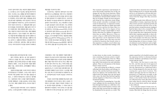계단절을 시도하기도 한다 .

트라우마는 사람마다 취약성이 다르지만 일반적으로 능력발달을 지연시키고 바깥에서 오는 자극들에 과도하게 파장을 맞추어 일상 의 일에 집중하기가 어렵게 만든다. 트라우마 와 관련된 자극들을 회피하거나 일반적인 반 응에서 무뎌지게 하고, 또는 계속해서 긴장되 고 놀란 증상들이 나타나게 된다. 이는 반복되 는 스트레스를 겪거나 트라우마를 겪는 동안 우 리 뇌에서는 코르티솔(cortisol)이라는 호르몬 이 분비되어 몸의 반응(reaction)을 일으키기 때문이다. 곧 싸우기 (fight ), 도망 혹은 회피하기 (flight ), 뇌가 얼어붙어 버리는 얼음땡 상태로 행동 (action )하거나 마비 (numbness )시키는 것 이다. 이러한 호르몬들이 분비될 때, 사람은 기 억을 잘 못하고 (memory loss )집중할 수 없게 되 기도 하며, 말을 잃기도 (실어증 ) 한다. 이는 모

to shut down; in other words, it produces a state consisting of extreme action or numb ness, or some combination of the two. When cortisol is secreted, furthermore, people may suffer from memory loss and sometimes aphasia. These are all responses of the human brain to ensure survival.

One early spring day in March, a woman suffering from deep sadness and lethargy vis ited me. She said she had been treated by a doctor for aphasia a few months before. She talked about the happy days she had spent with a man--the dates they had had together and the happiness of their lives as they stud ied abroad together.

In the process of counseling her, I was able to get a glimpse into her unconscious. She had been through hard times as a child due to her father's unsuccessful business ventures and had at that time worried that she might even be abandoned by her parents as a result. This

봄이 시작되는 3월 어느 날, 깊은 슬픔과 무 기력으로 고통을 겪고 있는 30대의 한 여자가 찾아왔다. 몇 달 전에 실어증으로 병원 치료를 받았다고 했다. 그녀는 한 남자와 지냈던 행복 했던 시절, 그와의 데이트, 유학생활의 기쁨 등 을 얘기했다 .

The traumatic experiences and moments of stress that people sometimes face in life can change the way their brain functions. When this happens, the thinking brain assesses their circumstances and determines whether or not they are in danger. People are born and grow, and along the way experience many things. Some people remember seemingly trivial events in unusual ways, or experience trauma, which remains with them as adults and results in great terror and fear for them. Here is a good example. The level or degree of fear people have of dogs is much higher or more intense when they are children as opposed to when they are adults. Moreover, if they en counter a dog as a child and feel threatened, this experience can be imprinted on their brain like a photo; later, they may even feel terrified by situations that loosely relate to that experience or subject, even if others may not be able to understand their feelings or the

즈업되었다. 어린 시절 경험한 거절에 대한 두 려움은 한 남성으로부터 버림 받을 것에 대한 두려움과 맞물려 필요 이상의 공포를 경험하게 했다. 때론 어린 아이가 되기도 하고, 때론 어른 이 되어 맞서 싸우기도 하고, 어머니처럼 순응 하기도 하는 자신의 모습을 보면서 겪어야 했던 슬픔과 분노가 그녀의 작품 속에 배여 있다. 한 남자에게 지배되기 보다 자신이 그 남자를 지배 하고 싶은 욕구가 성적 욕망으로 표출되기도 하 고, 실어증에 걸린 자신의 모습을 드러내기도 한다 . <sup>3</sup> iii <sup>2</sup> ii <sup>4</sup> iv

connection those situations have with dogs. These feelings may be so extreme that people will try to cut themselves off from their personal relationships in order to protect them selves from the images that they associate with dogs.

Although people show different levels of vulnerability to trauma, experiences like this often retard a person's emotional growth and lead to an obsession with the traces of the past that surface around the person, making it hard for him or her to live a normal life. Peo ple avoid stimuli that are, for them, related to the trauma they have experienced, become dull in their responses generally, or show other signs and symptoms of tension and shock. The reason people react this way is that the hormone cortisol is secreted by the human brain during times of stress or trauma. Corti sol enhances reactive behaviors such as fight ing, escaping, or evading, and causes the brain

상담의 과정을 통해 그녀의 무의식 세계 중 한 부분을 볼 수가 있었다. 그녀는 어린 시절 아 버지의 사업 실패로 여러 가지 힘든 일들을 겪 었고, 그 속에서 버려질지도 모른다고 생각했 다. 그 불안감은 어린 그녀를 두렵게 만들었다. 이러한 경험들은 그녀를 순응하는 아이로 만들 기도 하고, 때론 상황과 맞서는 아이로 만들기 도 했다.

최초의 남성인 아버지와 그녀가 사랑한 한 남자는 그녀의 삶속에서 다양한 모습으로 클로

여성은 트라우마를 경험할 때 남성과 뇌의 저장 방법에서 차이가 있다고 한다. 남성은 기 억하고 싶지 않은 것들은 적당히 가려둘 수 있 다. 하지만 여성의 경우에는 그 기억이 뇌의 사 방에 튀어 저장된다. 마치 토마토 주스를 만들 기 위해 믹서기에 토마토를 넣고 갈다가 갑자 anxiety caused her to be fearful in nature, and the experience led her to alternate between extreme obedience and defiance in her inter actions with the world.

Her father, the first man to come into her life, and this man she loved appeared in close-up in her life. The fear of rejection that she experienced as a child fused with a fear of being dumped by the man she loved, causing her a great deal of anxiety. The sadness and anger she felt over what she experienced, as a child and as an adult, as she stood and fought, and as she lapsed into obe dience, as her mother before her had done, are reflected in her work. Her desire to rule men rather than be ruled by them, through the use of sexual desire and her own aphasia, is also reflected.

It is said that women's brains store in formation differently from men's in times of trauma. Men hide the things they do not want

우리가 살아가면서 겪는 외상적 경험과 반복되 는 스트레스는 뇌가 기능하는 방식을 바꾸어 버 린다. 사고하는 뇌는 상황을 평가하여 위험인지 아닌지를 판단한다. 한 인간이 출생해서 어른으 로 성장하는 과정 속에서 많은 경험들을 하게 되는데 어떤 사람에게는 아주 단순하고 작은 일 들이 특별하게 기억되거나, 심지어 트라우마가 되어 어른이 되어서도 그 경험들에 대한 공포 와 두려움을 지속하게 된다. 예를 들면, 아주 어 린 시절에 받은 개의 위협에 대한 공포는 어느 정도 자랐거나 어른이 되어서 받는 개의 위협에 대한 공포보다 그 강도가 훨씬 크다. 뿐만 아니 라, 어릴 때 개의 위협을 받을 당시의 상황이 뇌 에 사진처럼 찍혀, 개와 상관 없는 상황이나 대 상, 심지어 그 상황과 관계되는 것들에게 까지 공포를 느끼게 된다. 심하게는 개와 동시에 떠 오르는 이미지로부터 자신을 보호하기 위해 관

1

두 생존을 위한 뇌의 반응이라 할 수 있다.

i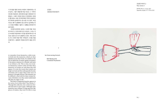진실된 이야기 2 True stories 2

종이에 수채, 21 × 29 cm, 2012 Aquarelle on paper,  $21 \times 29$  cm,  $2012$ 

기 뚜껑을 열면 토마토 파편이 사방에 튀는 과 같다. 그렇기 때문에 여성 자신도 그 기억이 어디에 저장되어, 언제 튀어나올지 예측하기가 힘들다. 그래서 여성은 방금 전 깔깔대고 웃었 다 할지라도 어떤 자극에 의해 기억이 되살아나 면 격하게 슬퍼하거나 분노할 수도 있다. 여성 자신도 왜 이 상황에서 분노하거나 슬퍼하는지 스스로를 이해할 수 없어 그 상황을 견뎌내기가 쉽지 않다.

것 21경숙 2008. 2016. 2017. 2018. 2019. 2019. 2019. 2019. 2019. 2019. 2019. 2019. 2019. 2019. 2019. 2019. 2019. 201 김경숙 상담정신치료전문가

이러한 단편적인 심리는 그녀의 작품 '진실 된 이야기 2'시리즈에서 잘 드러난다. 그녀는 지 금 이러한 과정속에서 자신을 발견하게 되고 새 로운 성장으로 다시 출발하고 있다. 비록 토마 토 주스 파편 처럼 어떤 기억들이 그녀를 괴롭 히겠지만 그 출발의 여정을 멈추지 않을 것이 다 .

to remember from themselves, while wom en hold onto the memories, which are then splashed across their brains. It is similar to the way in which bits of tomato splash everywhere if one places tomatoes in a blender and turns it on without a lid. This is why even wom en themselves cannot really tell what their memories of trauma are and when they will appear. It is also the reason that women can laugh out loud and then subsequently become extremely sad or angry when some trace of memory is brought forward. This situation can be difficult to deal with for these women be cause oftentimes even they cannot understand why they are angry or sad.

This kind of fragmented psyche appears in her series of art works titled 'True Stories 2'. Through this collection, she re-discovers her self and starts to grow again. Although some memories may continue to hang upon her like pieces of tomato, they won't be able to stop

her from moving forward.

Kim Kyung-sook Consultant Psychiatrist



5

6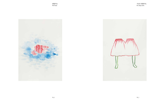괜찮아요. Not bad.





지금은 괜찮아요. It's okay now.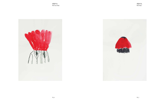

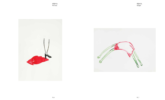괜찮아요. Not bad.





괜찮아요. Alright.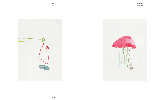



네, 괜찮아요. Doing just fine.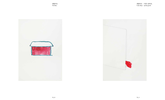괜찮아요. I'm fine.

괜찮아요… 기분도 좋아요. I am okay… pretty good.



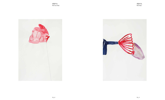

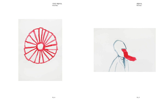기분은 괜찮아요. I feel fine.



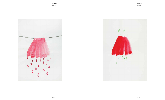괜찮아요. Alright.



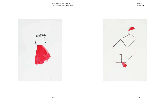

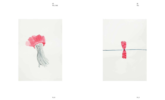네. Yes, I did.





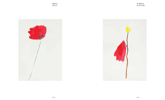괜찮아요. Not bad.





네, 괜찮아요. Yeah, I'm fine.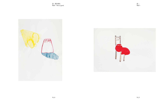



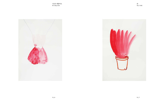지금은 괜찮아요. It's okay now.



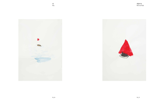

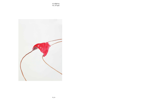네, 괜찮아요. Yes, all right.

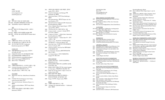# 조영주 1978 년 서울 출생 www.youngjoocho.com chcho09@gmail.com

# 학력

2007 파리 -세르지 국립 고등 미술학교 졸업 2003 -2005 파리 8대학 조형예술학과 석사과정 수학 2001 성균관대학교 미술교육 서양화과 졸업

2013-2014 협업 전시기획 '할Hal프로젝트', 스페이스 매스, 서울 2010 -2011 베를린 신사회 미술협회 (nGBK ) 회원 2005 -현재 국제미술그룹 글로벌 에일리언 (Global Alien )

# 경력

## 회원

## 레지던시

- 2013 스페이스 매스 레지던스 프로그램, 서울
- 2010 경기창작센터 (GCC ) 교환프로그램, 경기
- 2009 골드러쉬 예술가프로젝트 'Goldrausch Künstlerinnenprojekt art IT ', 베를린

#### 수상 및 수여

- 2013 서울시립미술관 Emerging Artists: 신진작가 전시지원 프로그램
- 2013 디딤돌 창작 준비금 수여, 한국예술인복지재단
- 2011 한국문화예술위원회 국제예술교류기금
- 2010 독일 IFA (Institut für Auslandsbeziehungen )
- 2009 덴마크 Arts Council 국제예술교류기금
- 2009 덴마크 아루스 지역문예기금

- 2012 Rebus New York City, Emily Harvey Foundation, 뉴욕
- 2012 CYAYAF 2012 (Contemporary Art & Young Artists Festival ), Kintex, 일산
- 2011 The end of the dream<sup>y</sup>, Micamoca Project e.V., 베를린
- 2011 ‹Sommer auf dem Balkon ›, 갤러리 Antje Wachs, 베를린
- 2011 ‹희망과 실패: 아메리칸 드림의 재발견 ›, 갤러리 Homeland, 포틀랜드

### 주요 개인전

- 2013 ‹가볍게 우울한 에피소드 ›, 코너아트스페이스, 서울
- 2013 < Good job Good place Good time> (2인전), 오산시립미술관 문화공장오산, 오산
- 2013 ‹My public affairs ›, 스페이스 매스, 서울

### 주요 단체전

YOUNGJOO CH Born 1978 www.youngjoocho.com chcho09@gmail.com

- 2011 ‹희망과 실패: 아메리칸 드림의 재발견 ›, 갤러리 rum46, 아루스, 덴마크
- 2010 ‹Schnell & Schmutzig ›, Lab -Montage기획, Markthalle IX, 베를린
- 2010 ‹Step toward Home ›, 갤러리 Dam Stuhltrager, 베를린
- 2010 ‹Dé -synchronisation ›, 대안공간 Espace des Arts Sans Frontières, 파리
- 2009 ‹Splendid Isolation -Goldrausch 2009 ›, Kunstraum Kreuzberg/Betanien, 베를린
- 2009 ‹Power of Spoken Words 'Import Export ' ›, 갤러리 rum 46, 아루스, 덴마크
- 2009 ‹미디어로서의 작가 ›, 갤러리 정미소, 서울
- 2009 ‹Camera Cartell scenario 3 ›, Hedah 갤러리, 마스트리트, 네덜란드
- 2008 Congress of Culture Global Alien<sup>y</sup>, Kunstraum Kreuzberg/Betanien, 베를린
- 2007 ‹Freedom of Speech "Global Alien TV " ›, 쌈지 스페이스, 서울
- 2006 ‹Made in Asia ›, 제 5 회 파리 국제 현대미술축제 'Nuit Blanche', Le Divan du Monde, 파리
- 2006 ‹Paris Tout Court ›, 제 4 회 파리 국제 단편영화제, Cinema L 'Arlequin, 파리
- 2005 < Nouveau Cinema>, Cine Qua Non 협회 ESSEC 디지털 영화제, 파리
- 2005 ‹Le Visiosonic ›, Kameleon 협회 현대미술축제, 세르지, 프랑스
- 2005 ‹Le Cinema Liberté ›, 국제 디지털영상축제, Chaplin 아트 센터, 파리

#### 세미나 및 워크숍

- 2013 몸 ,공간 그리고 놀이 꿈다락 토요문화학교, 문화공장오산, 오산
- 2013 현대미술매체의 역할과 의미, 숭실대학교 글로벌 미디어 학과, 서울
- 2012 REBUS NEW YORK CITY Re-occupy Language in Urban Space, 복합문화공간 꿀&꿀풀, 서울
- 2011 Thank You Art Day (39art ), A Space of Asia Art Archive (AAA ), 홍콩
- 2011 베를린 훔볼트대학, 베를린
- 2010 Global Playground (예술가의 세계유랑 ) 레지던시의 재조명, 경기창작센터, 경기
- 2009 Tongue 프로젝트, Tongue Laden, 베를린

### 출판물

- 2013 «가볍게 우울한 에피소드 », 서울
- 2009 «Youngjoo Cho 'Splendid Isolation ' Goldrausch 2009 », 베를린

#### ED UCATIO NAL Q UALIFICATIO N

- 2007 MA Ecole Nationale Supérieure d'Arts de Paris-Cergy, France
- 2003-2005 Studies in Master of Fine Arts, University Paris8, France
- 2001 BA University Sungkyunkwan, Seoul, South Korea

#### ACTIVITIES

- 2013-2014 Hal Project, Collaborative curating project with Klega, Space Mass, Seoul
- 2010-2011 Member of NGBK( Neue Gesellschaft Fuer Bildende Kunst e.V), Berlin
- 2005-2008 Member of the international art group 'Global Alien'

#### **RESIDENCY**

- 2013 Space Mass Residence program, Seoul
- 2010 Gyeonggi Creation Center, Gyeonggi
- 2009 Goldrausch Künstlerinnenprojekt art IT, Berlin

#### AWARDS & GRA NTS

- 2013 Emerging Artists Program, Seoul Museum of Art
- 2013 Didimdol, Korean Artists Welfare Foundation
- 2011 International exchange of arts and culture, Arts Council Korea
- 2010 ifa (Institut für Auslandsbeziehungen), Germany 2009 International exchange of arts, Danish Arts
- Council
- 2009 Aarhus Region Arts Fund

#### SELECTED SOLO/D UO EXHIBITIO N S

- 2014 *Mild depressive episode*, Corner Art Space, Seoul
- 2013 Good job Good place Good time, Osan Museum of Art, Osan
- 2013 *My public affairs*, Space Mass, Seoul

#### SELECTED COLLECTIVE EXHIBITIO N S

- <sup>2012</sup>*Rebus New York City*, Emily Harvey Foundation, New York
- 2012 CYAYAF 2012 (contemporary Art & Young Artists Festival), Kintex, Ilsan
- 2011 *The end of the dream*, Micamoca Project e.V., Berlin
- 2011 *Sommer auf dem Balkon*, Gallery Antje Wachs, Berlin
- 2011 *Hope and failure*, Gallery Homeland, Portland
- 2011 *Hope and failure*, rum46, Århus
- 2010 *Schnell & Schmutzig*, organized by Lab-Montage, Markthalle IX, Berlin
- 2010 *Step toward Home*, Dam Stuhltrager Gallery, Berlin
- 2010 *Dé-synchronisation*, Espace des Arts Sans Frontières, Paris
- 2009 *Splendid Isolation-Goldrausch 2009*, Kunstraum

|      | Kreuzberg/Betanien, Berlin                              |  |
|------|---------------------------------------------------------|--|
| 2009 | Power of Spoken Words 'Import Export', rum 46,<br>Århus |  |
| 2009 | ARTIST AS A MEDIA, Gallery Jungmiso, Seoul              |  |
| 2009 | CameraCartell-scenario 3, Hedah art space,              |  |
|      | Maastricht                                              |  |
| 2008 | Congress of Culture-Global Alien, Kunstraum             |  |
|      | Kreuzberg/Betanien, Berlin                              |  |
| 2007 | Freedom of Speech - "Global Alien TV", Gallery          |  |
|      | Ssamsiespace, Seoul                                     |  |
| 2006 | Made in Asia, 5th International Contemporary Art        |  |
|      | Festival 'Nuit Blanche', Le Divan du Monde, Paris       |  |
| 2006 | Paris Tout Court, 4th International Short Cinema        |  |
|      | Festival of Paris, Paris                                |  |
| 2005 | Nouveau Cinema, Association Cine Qua Non -              |  |
|      | <b>ESSEC, Paris</b>                                     |  |
| 2005 | Le Visiosonic, Festival of Contemporary Arts,           |  |
|      | Association Kameleon, Cergy                             |  |
| 2005 | Le Cinema Liberté, International Festival of Film       |  |
|      | Digital, Centre Culturel Le Chaplin                     |  |
|      | SEMINARS, WORKSHOPS & DISSCUTIONS                       |  |
| 2013 | Body, Space and Play: Saturday Arts workshop,           |  |
|      | Osan Museum of Art, Osan                                |  |
| 2013 | Contemporary arts media, Soongsil University,           |  |
|      | Seoul                                                   |  |
| 2012 | REBUS NEW YORK CITY Re-occupy Language                  |  |
|      | in Urban Space, ggooll&ccuullpool,Seoul, Seoul          |  |
| 2011 | Humboldt University, Berlin                             |  |
| 2011 | Thank You Art Day (39art), A Space of Asia Art          |  |
|      | Archive(AAA), Hongkong                                  |  |
| 2010 | Global Playground, Gyeonggi Creation Center             |  |
|      | (GCC), Gyeonggi                                         |  |
| 2009 | Project Tongue by Oda Projesi and Nadin                 |  |
|      | Reschke, Tongue Laden, Berlin                           |  |
|      | <b>BOOKS &amp; CATALOGUE CONTRIBUTIONS</b>              |  |
| 2013 | Mild Depressive Episode, Seoul                          |  |
|      |                                                         |  |

2009 *Youngjoo Cho 'Splendid Isolation' — Goldrausch 2009*, Berlin